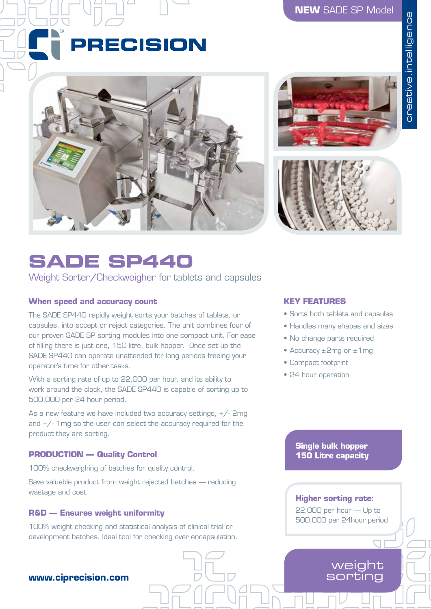# **NEW** SADE SP Model

# PRECISION





# **SADE SP440**

Weight Sorter/Checkweigher for tablets and capsules

# **When speed and accuracy count**

The SADE SP440 rapidly weight sorts your batches of tablets, or capsules, into accept or reject categories. The unit combines four of our proven SADE SP sorting modules into one compact unit. For ease of filling there is just one, 150 litre, bulk hopper. Once set up the SADE SP440 can operate unattended for long periods freeing your operator's time for other tasks.

With a sorting rate of up to 22,000 per hour, and its ability to work around the clock, the SADE SP440 is capable of sorting up to 500,000 per 24 hour period.

As a new feature we have included two accuracy settings, +/- 2mg and +/- 1mg so the user can select the accuracy required for the product they are sorting.

### **PRODUCTION — Quality Control**

100% checkweighing of batches for quality control.

Save valuable product from weight rejected batches — reducing wastage and cost.

#### **R&D — Ensures weight uniformity**

100% weight checking and statistical analysis of clinical trial or development batches. Ideal tool for checking over encapsulation.

# **www.ciprecision.com**

#### **KEY FEATURES**

- Sorts both tablets and capsules
- Handles many shapes and sizes
- No change parts required
- Accuracy ±2mg or ±1mg
- Compact footprint
- 24 hour operation

#### **Single bulk hopper 150 Litre capacity**

#### **Higher sorting rate:**

22,000 per hour — Up to 500,000 per 24hour period

# weight sorting